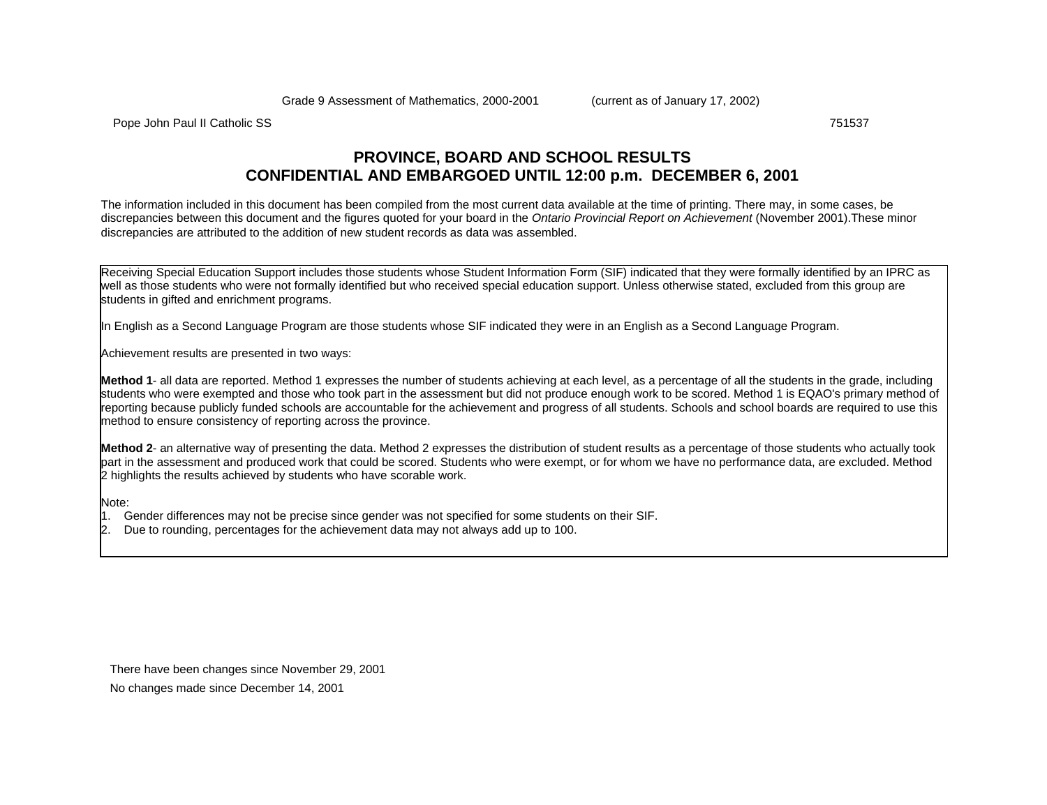Pope John Paul II Catholic SS 751537

# **PROVINCE, BOARD AND SCHOOL RESULTS CONFIDENTIAL AND EMBARGOED UNTIL 12:00 p.m. DECEMBER 6, 2001**

The information included in this document has been compiled from the most current data available at the time of printing. There may, in some cases, be discrepancies between this document and the figures quoted for your board in the *Ontario Provincial Report on Achievement* (November 2001).These minor discrepancies are attributed to the addition of new student records as data was assembled.

Receiving Special Education Support includes those students whose Student Information Form (SIF) indicated that they were formally identified by an IPRC as well as those students who were not formally identified but who received special education support. Unless otherwise stated, excluded from this group are students in gifted and enrichment programs.

In English as a Second Language Program are those students whose SIF indicated they were in an English as a Second Language Program.

Achievement results are presented in two ways:

**Method 1**- all data are reported. Method 1 expresses the number of students achieving at each level, as a percentage of all the students in the grade, including students who were exempted and those who took part in the assessment but did not produce enough work to be scored. Method 1 is EQAO's primary method of reporting because publicly funded schools are accountable for the achievement and progress of all students. Schools and school boards are required to use this method to ensure consistency of reporting across the province.

**Method 2**- an alternative way of presenting the data. Method 2 expresses the distribution of student results as a percentage of those students who actually took part in the assessment and produced work that could be scored. Students who were exempt, or for whom we have no performance data, are excluded. Method 2 highlights the results achieved by students who have scorable work.

Note:

- 1. Gender differences may not be precise since gender was not specified for some students on their SIF.
- 2. Due to rounding, percentages for the achievement data may not always add up to 100.

There have been changes since November 29, 2001

No changes made since December 14, 2001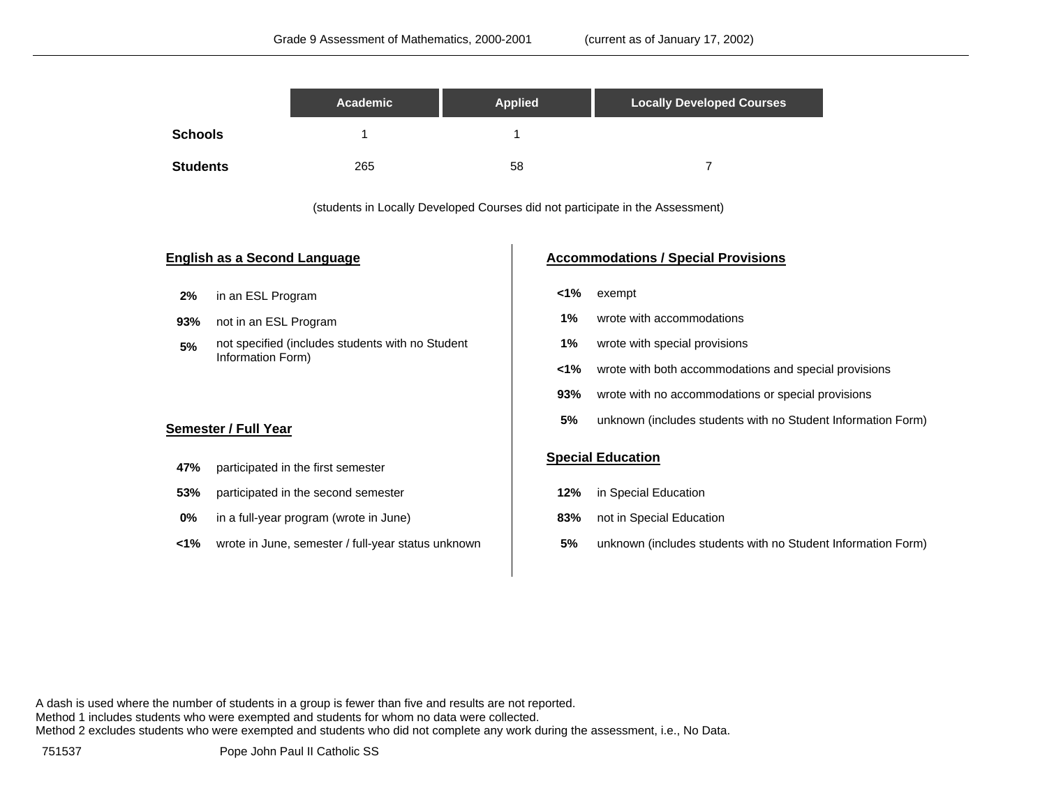|                 | Academic | <b>Applied</b> | <b>Locally Developed Courses</b> |
|-----------------|----------|----------------|----------------------------------|
| <b>Schools</b>  |          |                |                                  |
| <b>Students</b> | 265      | 58             |                                  |

(students in Locally Developed Courses did not participate in the Assessment)

#### **English as a Second Language**

- in an ESL Program **2%**
- **93%** not in an ESL Program
- not specified (includes students with no Student Information Form) **5%**

- participated in the first semester **47%**
- participated in the second semester **53%**
- in a full-year program (wrote in June) **0%**
- wrote in June, semester / full-year status unknown **<1%**

#### **Accommodations / Special Provisions**

- exempt **<1%**
- wrote with accommodations **1%**
- wrote with special provisions **1%**
- wrote with both accommodations and special provisions **<1%**
- wrote with no accommodations or special provisions **93%**
- **Semester / Full Year Semester / Full Year Semester / Full Year Semester / Full Year Semester / Full Year Semester / Full Year Semester / Full Year Semester / Full Year Semester / Full Year Semester / Ful 5%**

### **Special Education**

- **12%** in Special Education
- **83%** not in Special Education
- **5%** unknown (includes students with no Student Information Form)

A dash is used where the number of students in a group is fewer than five and results are not reported. Method 1 includes students who were exempted and students for whom no data were collected. Method 2 excludes students who were exempted and students who did not complete any work during the assessment, i.e., No Data.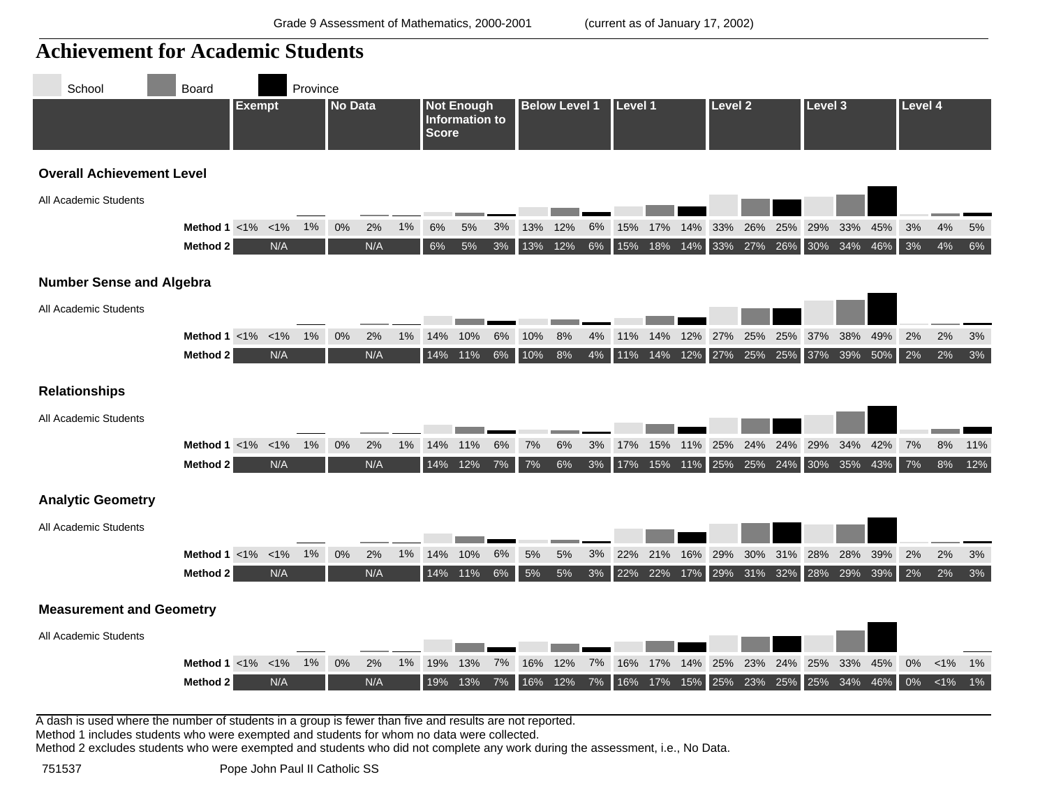

Method 1 includes students who were exempted and students for whom no data were collected.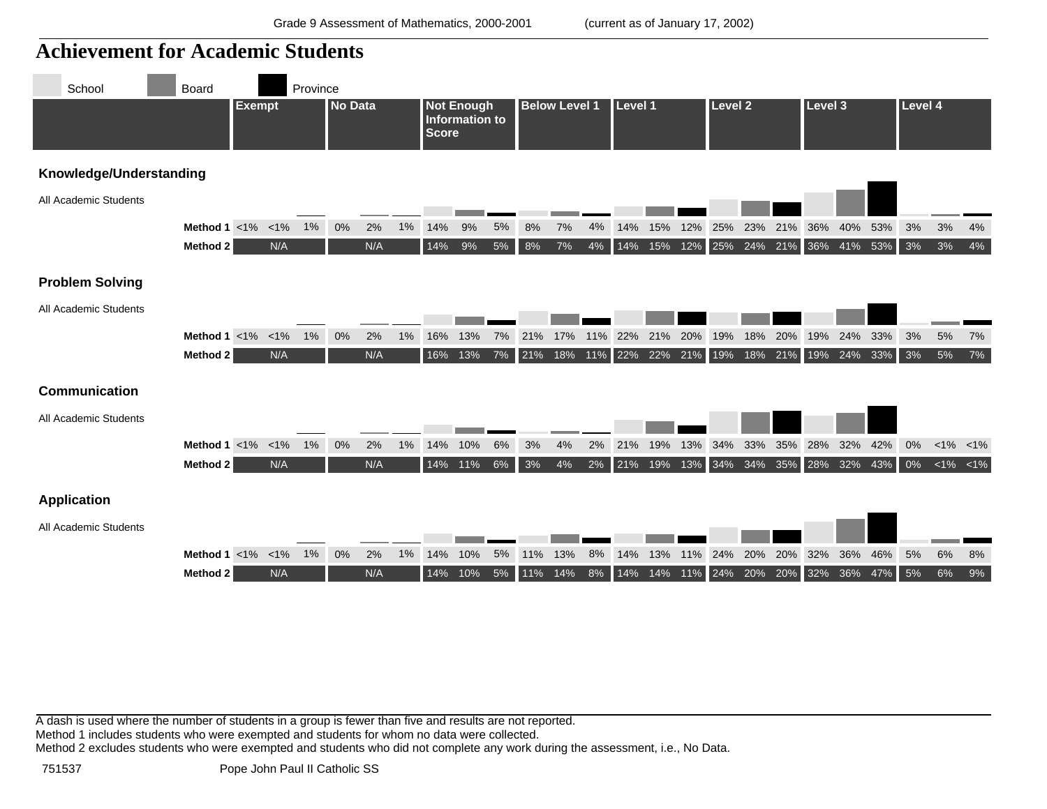

Method 1 includes students who were exempted and students for whom no data were collected.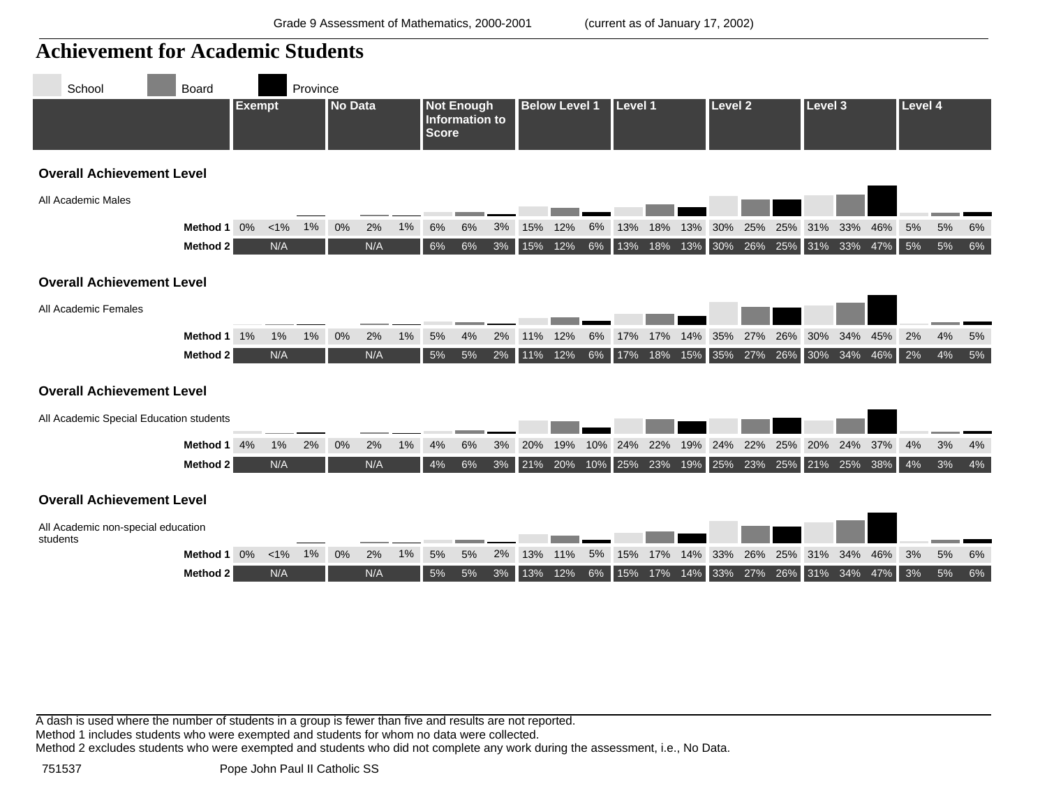

| students |
|----------|
|----------|

| ucation  |       |         |       |       |     |       |    |                                                                |    |     |     |    | <u>e de la componenta</u> |  |  |                                 |     |    |    |    |
|----------|-------|---------|-------|-------|-----|-------|----|----------------------------------------------------------------|----|-----|-----|----|---------------------------|--|--|---------------------------------|-----|----|----|----|
| Method 1 | $0\%$ | $< 1\%$ | $1\%$ | $0\%$ | 2%  | $1\%$ | 5% | 5%                                                             | 2% | 13% | 11% | 5% |                           |  |  | 15% 17% 14% 33% 26% 25% 31% 34% | 46% | 3% | 5% | 6% |
| Method 2 |       | N/A     |       |       | N/A |       | 5% | 5% 3% 13% 12% 6% 15% 17% 14% 33% 27% 26% 31% 34% 47% 3% 5% 34% |    |     |     |    |                           |  |  |                                 |     |    |    | 6% |

Method 1 includes students who were exempted and students for whom no data were collected.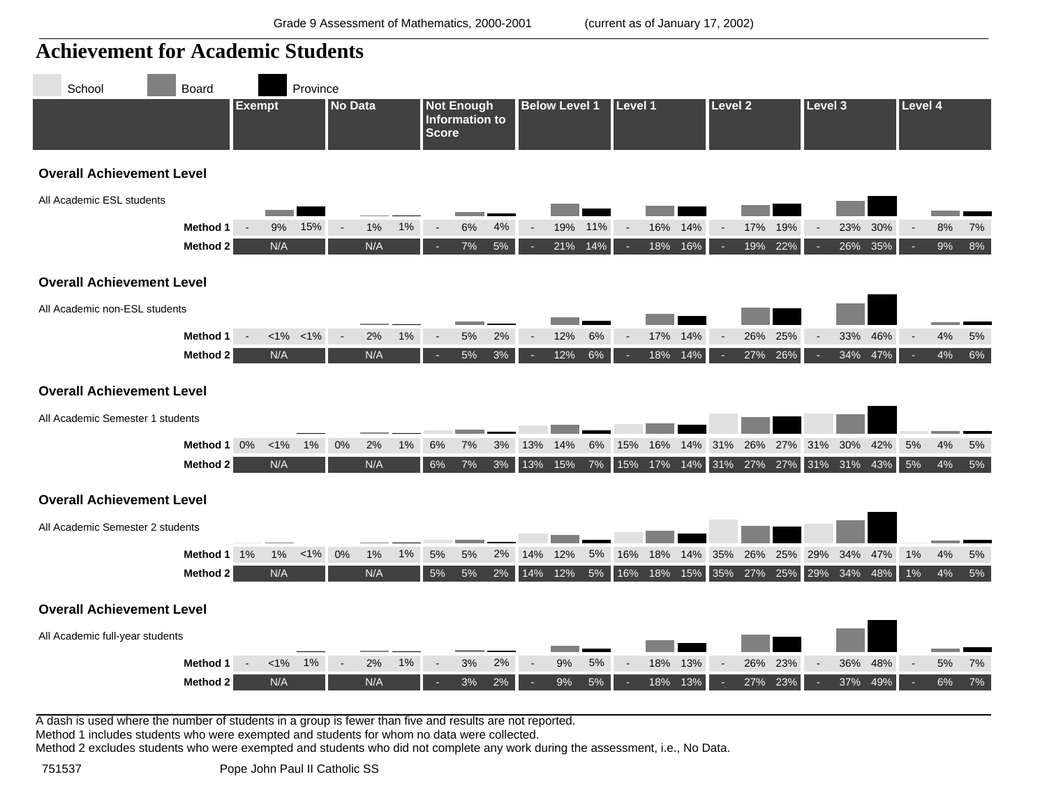#### **Achievement for Academic Students Exempt No Data Not Enough Information to Score Below Level 1 Level 1 Level 2 Level 3 Level 4** School Board **Board** Province **Overall Achievement Level** - 9% 15% - 1% 1% - 6% 4% - 19% 11% - 16% 14% - 17% 19% - 23% 30% -- 7% 5% - 21% 14% - 18% 16% - 19% 22% - 26% 35% -9% 15% - 1% 1% - 6% 4% - 19% 11% - 16% 14% - 17% 19% - 23% 30% - 8% 7% N/A N/A 7% 5% 21% 14% 18% 16% 19% 22% 26% 35% 9% 8% **Method 1 Method 2** All Academic ESL students **Overall Achievement Level** - - -1% -1% - - -2% - 1% - - 5% - 2% - - -12% 6% - - -17% 14% - - -26% - - -33% - - -33% - - -17% -- 5% 3% | - 12% 6% | - 18% 14% | - 27% 26% | - 34% 47% | -<1% <1% 2% 1% 5% 2% 12% 6% 17% 14% 26% 25% 33% 46% 4% 5% N/A N/A 5% 3% 12% 6% 18% 14% 27% 26% 34% 47% 4% 6% **Method 1 Method 2** All Academic non-ESL students

### **Overall Achievement Level**



# **Overall Achievement Level**

| c Semester 2 students |       |       |         |       |     |          |  |  |  | <u>an mara 1986</u>                                        |  |  | <u> Landis San Timor de la</u> |  |          |                                                                  |
|-----------------------|-------|-------|---------|-------|-----|----------|--|--|--|------------------------------------------------------------|--|--|--------------------------------|--|----------|------------------------------------------------------------------|
| Method 1              | $1\%$ | $1\%$ | $< 1\%$ | $0\%$ |     | $1\%$ 1% |  |  |  | 5% 5% 2% 14% 12% 5% 16% 18% 14% 35% 26% 25% 29% 34% 47% 1% |  |  |                                |  | $4\%$ 5% |                                                                  |
| Method 2              |       | N/A   |         |       | N/A |          |  |  |  |                                                            |  |  |                                |  |          | 5% 5% 2% 14% 12% 5% 16% 18% 15% 35% 27% 25% 29% 34% 48% 1% 4% 5% |

## **Overall Achievement Level**



A dash is used where the number of students in a group is fewer than five and results are not reported.

Method 1 includes students who were exempted and students for whom no data were collected.

Method 2 excludes students who were exempted and students who did not complete any work during the assessment, i.e., No Data.

All Academi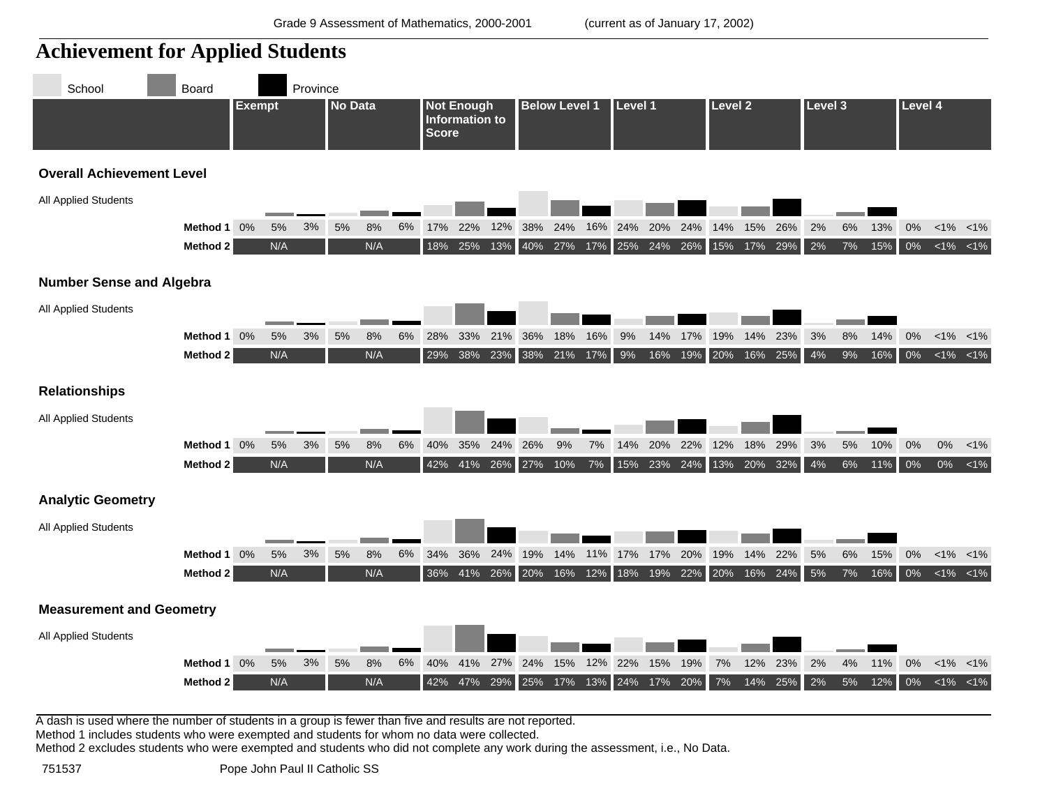

Method 1 includes students who were exempted and students for whom no data were collected.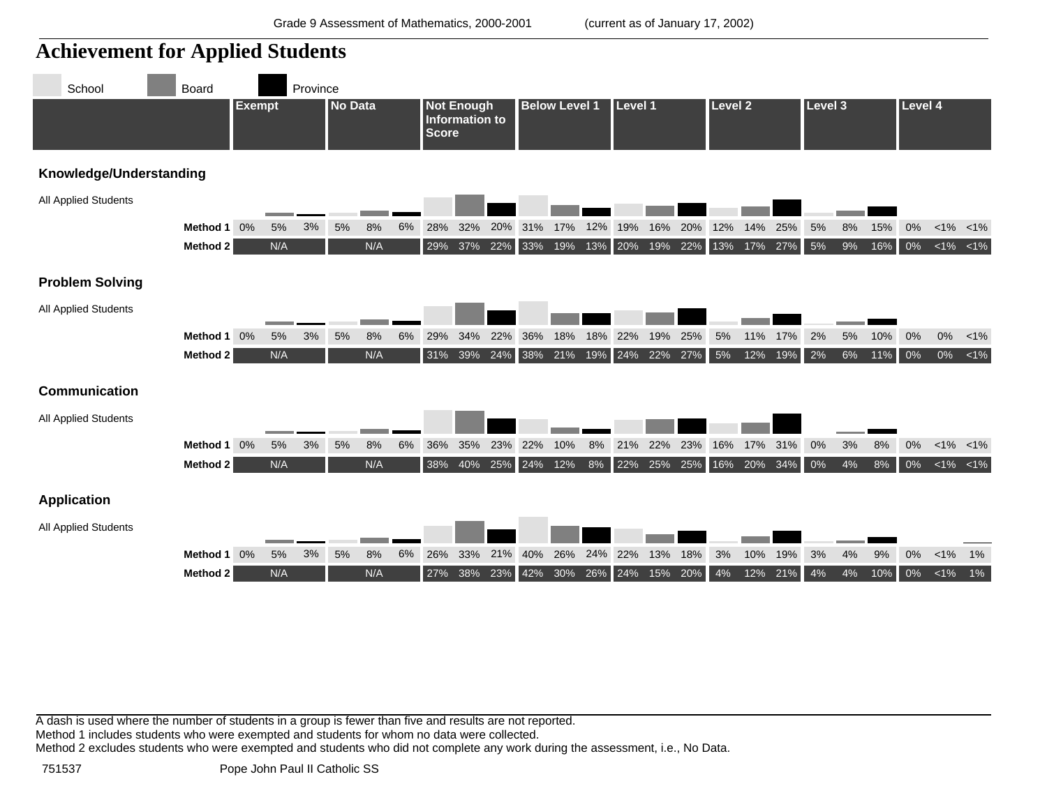

Method 1 includes students who were exempted and students for whom no data were collected.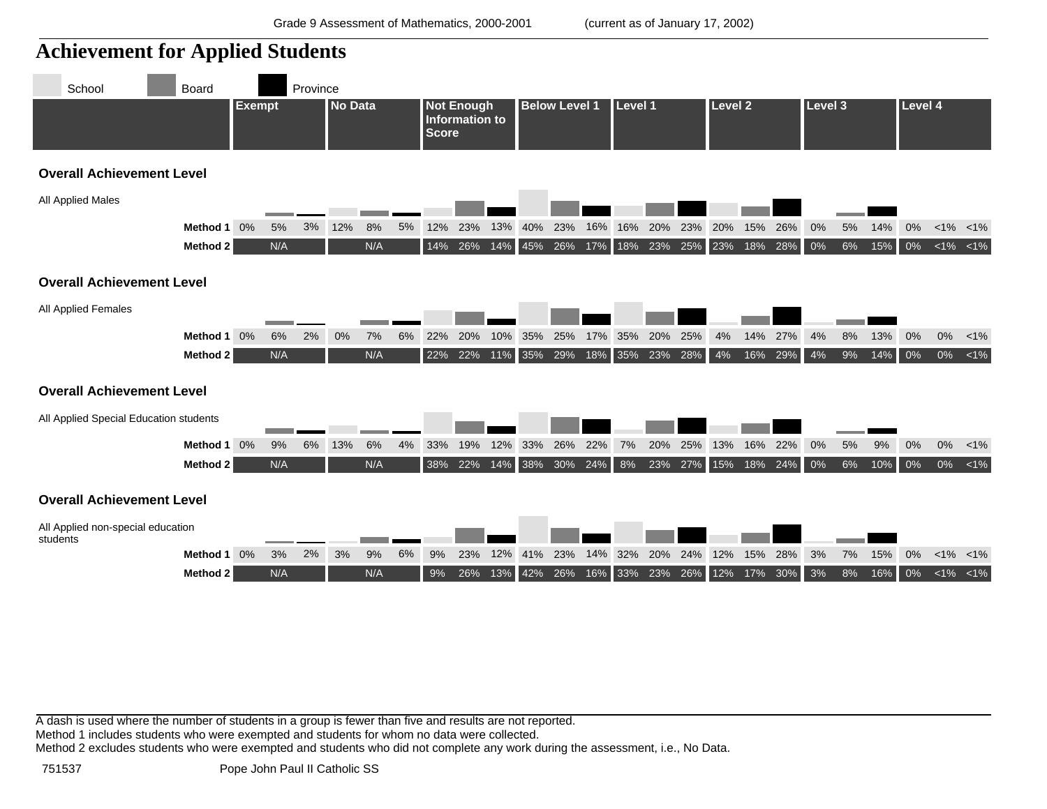

Method 1 includes students who were exempted and students for whom no data were collected.